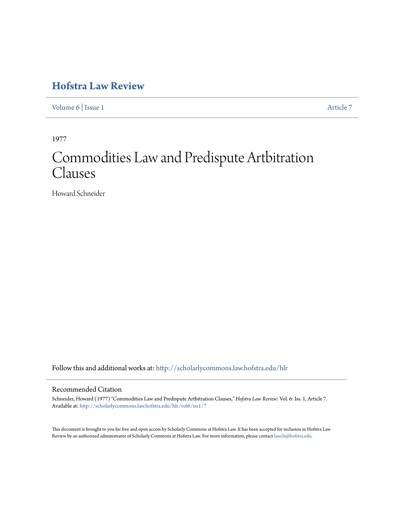## **[Hofstra Law Review](http://scholarlycommons.law.hofstra.edu/hlr?utm_source=scholarlycommons.law.hofstra.edu%2Fhlr%2Fvol6%2Fiss1%2F7&utm_medium=PDF&utm_campaign=PDFCoverPages)**

[Volume 6](http://scholarlycommons.law.hofstra.edu/hlr/vol6?utm_source=scholarlycommons.law.hofstra.edu%2Fhlr%2Fvol6%2Fiss1%2F7&utm_medium=PDF&utm_campaign=PDFCoverPages) | [Issue 1](http://scholarlycommons.law.hofstra.edu/hlr/vol6/iss1?utm_source=scholarlycommons.law.hofstra.edu%2Fhlr%2Fvol6%2Fiss1%2F7&utm_medium=PDF&utm_campaign=PDFCoverPages) [Article 7](http://scholarlycommons.law.hofstra.edu/hlr/vol6/iss1/7?utm_source=scholarlycommons.law.hofstra.edu%2Fhlr%2Fvol6%2Fiss1%2F7&utm_medium=PDF&utm_campaign=PDFCoverPages)

1977

# Commodities Law and Predispute Artbitration Clauses

Howard Schneider

Follow this and additional works at: [http://scholarlycommons.law.hofstra.edu/hlr](http://scholarlycommons.law.hofstra.edu/hlr?utm_source=scholarlycommons.law.hofstra.edu%2Fhlr%2Fvol6%2Fiss1%2F7&utm_medium=PDF&utm_campaign=PDFCoverPages)

#### Recommended Citation

Schneider, Howard (1977) "Commodities Law and Predispute Artbitration Clauses," *Hofstra Law Review*: Vol. 6: Iss. 1, Article 7. Available at: [http://scholarlycommons.law.hofstra.edu/hlr/vol6/iss1/7](http://scholarlycommons.law.hofstra.edu/hlr/vol6/iss1/7?utm_source=scholarlycommons.law.hofstra.edu%2Fhlr%2Fvol6%2Fiss1%2F7&utm_medium=PDF&utm_campaign=PDFCoverPages)

This document is brought to you for free and open access by Scholarly Commons at Hofstra Law. It has been accepted for inclusion in Hofstra Law Review by an authorized administrator of Scholarly Commons at Hofstra Law. For more information, please contact [lawcls@hofstra.edu](mailto:lawcls@hofstra.edu).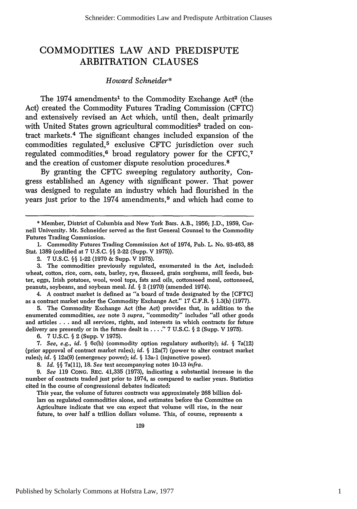### COMMODITIES LAW **AND PREDISPUTE** ARBITRATION **CLAUSES**

#### *Howard Schneider\**

The  $1974$  amendments<sup>1</sup> to the Commodity Exchange Act<sup>2</sup> (the Act) created the Commodity Futures Trading Commission (CFTC) and extensively revised an Act which, until then, dealt primarily with United States grown agricultural commodities<sup>3</sup> traded on contract markets. 4 The significant changes included expansion of the commodities regulated,<sup>5</sup> exclusive CFTC jurisdiction over such regulated commodities,<sup>6</sup> broad regulatory power for the CFTC,<sup>7</sup> and the creation of customer dispute resolution procedures. <sup>8</sup>

By granting the CFTC sweeping regulatory authority, Congress established an Agency with significant power. That power was designed to regulate an industry which had flourished in the years just prior to the 1974 amendments,<sup>9</sup> and which had come to

3. The commodities previously regulated, enumerated in the Act, included: wheat, cotton, rice, corn, oats, barley, rye, flaxseed, grain sorghums, mill feeds, butter, eggs, Irish potatoes, wool, wool tops, fats and oils, cottonseed meal, cottonseed, peanuts, soybeans, and soybean meal. *Id.* **§** 2 (1970) (amended 1974).

4. A contract market is defined as "a board of trade designated by the [CFTC] as a contract market under the Commodity Exchange Act." 17 C.F.R. **§** 1.3(h) (1977).

5. The Commodity Exchange Act (the Act) provides that, in addition to the enumerated commodities, *see* note 3 *supra,* "commodity" includes "all other goods and articles . . . and all services, rights, and interests in which contracts for future delivery are presently or in the future dealt in **.... "** 7 U.S.C. **§** 2 (Supp. V 1975).

6. 7 U.S.C. § 2 (Supp. V 1975).

7. *See, e.g., id. §* 6c(b) (commodity option regulatory authority); *id. §* 7a(12) (prior approval of contract market rules); *id. §* 12a(7) (power to alter contract market rules); *id. §* 12a(9) (emergency power); *id. §* 13a-1 (injunctive power).

8. *Id. §§* 7a(11), 18. *See* text accompanying notes 10-13 *infra.*

*9. See* 119 CONG. REC. 41,335 (1973), indicating a substantial increase in the number of contracts traded just prior to 1974, as compared to earlier years. Statistics cited in the course of congressional debates indicated:

This year, the volume of futures contracts was approximately 268 billion dollars on regulated commodities alone, and estimates before the Committee on Agriculture indicate that we can expect that volume will rise, in the near future, to over half a trillion dollars volume. This, of course, represents a

<sup>\*</sup> Member, District of Columbia and New York Bars. A.B., 1956; J.D., 1959, Cornell University. Mr. Schneider served as the first General Counsel to the Commodity Futures Trading Commission.

<sup>1.</sup> Commodity Futures Trading Commission Act of 1974, Pub. L. No. 93-463, 88 Stat. 1389 (codified at 7 U.S.C. §§ 2-22 (Supp. V 1975)).

<sup>2. 7</sup> U.S.C. §§ 1-22 (1970 & Supp. V 1975).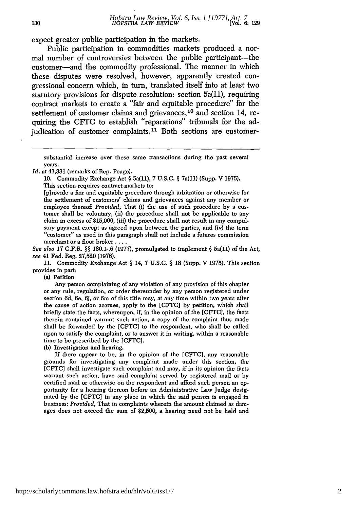expect greater public participation in the markets.

Public participation in commodities markets produced a normal number of controversies between the public participant-the customer-and the commodity professional. The manner in which these disputes were resolved, however, apparently created congressional concern which, in turn, translated itself into at least two statutory provisions for dispute resolution: section 5a(11), requiring contract markets to create a "fair and equitable procedure" for the settlement of customer claims and grievances,<sup>10</sup> and section 14, requiring the **CFTC** to establish "reparations" tribunals for the adjudication of customer complaints.<sup>11</sup> Both sections are customer-

substantial increase over these same transactions during the past several years.

*Id.* at 41,331 (remarks of Rep. Poage).

10. Commodity Exchange Act **§** 5a(11), 7 U.S.C. § 7a(11) (Supp. V 1975). This section requires contract markets to:

[p]rovide a fair and equitable procedure through arbitration or otherwise for the settlement of customers' claims and grievances against any member or employee thereof: *Provided,* That (i) the use of such procedure by a customer shall be voluntary, (ii) the procedure shall not be applicable to any claim in excess of \$15,000, (iii) the procedure shall not result in any compulsory payment except as agreed upon between the parties, and (iv) the term "customer" as used in this paragraph shall not include a futures commission merchant or a floor broker ....

*See also* 17 C.F.R. §§ 180.1-.6 (1977), promulgated to implement § 5a(11) of the Act, see 41 Fed. Reg. 27,520 (1976).

11. Commodity Exchange Act **§** 14, 7 U.S.C. **§ 18** (Supp. V 1975). This section provides in part:

(a) Petition

Any person complaining of any violation of any provision of this chapter or any rule, regulation, or order thereunder **by** any person registered under section **6d,** 6e, *6j,* or 6m of this title may, at any time within two years after the cause of action accrues, apply to the **[CFTC] by** petition, which shall briefly state the facts, whereupon, if, in the opinion of the [CFTC], the facts therein contained warrant such action, a copy of the complaint thus made shall be forwarded **by** the **[CFTC]** to the respondent, who shall be called upon to satisfy the complaint, or to answer it in writing, within a reasonable time to be prescribed **by** the [CFTC].

**(b)** Investigation and hearing.

If there appear to be, in the opinion of the [CFTC], any reasonable grounds for investigating any complaint made under this section, the **[CFTC]** shall investigate such complaint and may, if in its opinion the facts warrant such action, have said complaint served **by** registered mail or **by** certified mail or otherwise on the respondent and afford such person an opportunity for a hearing thereon before an Administrative Law Judge designated by the [CFTC] in any place in which the said person is engaged in business: *Provided,* That in complaints wherein the amount claimed as damages does not exceed the sum of \$2,500, a hearing need not be held and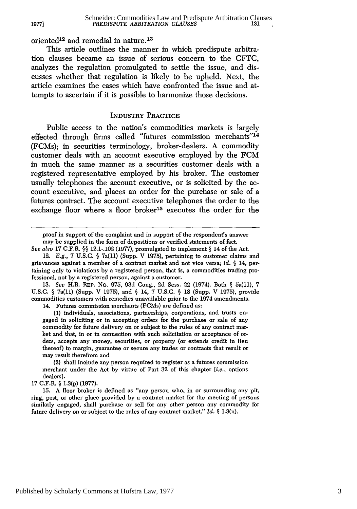oriented'2 and remedial in nature. <sup>13</sup>

**1977]**

This article outlines the manner in which predispute arbitration clauses became an issue of serious concern to the CFTC, analyzes the regulation promulgated to settle the issue, and discusses whether that regulation is likely to be upheld. Next, the article examines the cases which have confronted the issue and attempts to ascertain if it is possible to harmonize those decisions.

#### INDUSTRY PRACTICE

Public access to the nation's commodities markets is largely effected through firms called "futures commission merchants"<sup>14</sup> (FCMs); in securities terminology, broker-dealers. A commodity customer deals with an account executive employed by the FCM in much the same manner as a securities customer deals with a registered representative employed by his broker. The customer usually telephones the account executive, or is solicited by the account executive, and places an order for the purchase or sale of a futures contract. The account executive telephones the order to the exchange floor where a floor broker<sup>15</sup> executes the order for the

**13.** *See* H.R. **REP.** No. 975, 93d Cong., **2d** Sess. 22 (1974). Both § 5a(11), 7 U.S.C. § 7a(11) (Supp. V 1975), and § 14, 7 U.S.C. § 18 (Supp. V 1975), provide commodities customers with remedies unavailable prior to the 1974 amendments.

14. Futures commission merchants (FCMs) are defined as:

**17** C.F.R. § **1.3(p) (1977).**

proof in support of the complaint and in support of the respondent's answer may be supplied in the form of depositions or verified statements of fact.

*See also* 17 C.F.R. **§§** 12.1-.102 (1977), promulgated to implement § 14 of the Act. 12. E.g., 7 U.S.C. § 7a(11) (Supp. V **1975),** pertaining to customer claims and grievances against a member of a contract market and not vice versa; *id.* § 14, pertaining only to violations by a registered person, that is, a commodities trading professional, not by a registered person, against a customer.

<sup>(1)</sup> individuals, associations, partnerships, corporations, and trusts engaged in soliciting or in accepting orders for the purchase or sale of any commodity for future delivery on or subject to the rules of any contract market and that, in or in connection with such solicitation or acceptance of orders, accepts any money, securities, or property (or extends credit in lieu thereof) to margin, guarantee or secure any trades or contracts that result or may result therefrom and

<sup>(2)</sup> shall include any person required to register as a futures commission merchant under the Act by virtue of Part 32 of this chapter *[i.e.,* options dealers].

**<sup>15.</sup>** A floor broker is defined as "any person who, in or surrounding any pit, ring, post, or other place provided by a contract market for the meeting of persons similarly engaged, shall purchase or sell for any other person any commodity for future delivery on or subject to the rules of any contract market." *Id.* § 1.3(n).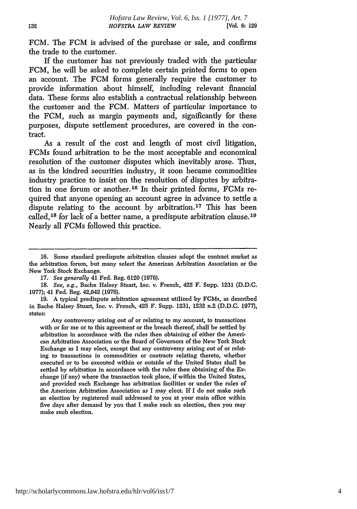FCM. The FCM is advised of the purchase or sale, and confirms the trade to the customer.

If the customer has not previously traded with the particular FCM, he will be asked to complete certain printed forms to open an account. The FCM forms generally require the customer to provide information about himself, including relevant financial data. These forms also establish a contractual relationship between the customer and the FCM. Matters of particular importance to the FCM, such as margin payments and, significantly for these purposes, dispute settlement procedures, are covered in the contract.

As a result of the cost and length of most civil litigation, FCMs found arbitration to be the most acceptable and economical resolution of the customer disputes which inevitably arose. Thus, as in the kindred securities industry, it soon became commodities industry practice to insist on the resolution of disputes by arbitration in one forum or another. 16 In their printed forms, FCMs required that anyone opening an account agree in advance to settle a dispute relating to the account by arbitration.<sup>17</sup> This has been called,<sup>18</sup> for lack of a better name, a predispute arbitration clause.<sup>19</sup> Nearly all FCMs followed this practice.

18. *See, e.g.,* Bache Halsey Stuart, Inc. v. French, 425 F. Supp. 1231 (D.D.C. 1977); 41 Fed. Reg. 42,942 (1976).

19. A typical predispute arbitration agreement utilized **by** FCMs, as described in Bache Halsey Stuart, Inc. v. French, 425 F. Supp. 1231, 1232 n.2 (D.D.C. 1977), states:

Any controversy arising out of or relating to my account, to transactions with or for me or to this agreement or the breach thereof, shall be settled **by** arbitration in accordance with the rules then obtaining of either the American Arbitration Association or the Board of Governors of the New York Stock Exchange as I may elect, except that any controversy arising out of or relating to transactions in commodities or contracts relating thereto, whether executed or to be executed within or outside of the United States shall be settled by arbitration in accordance with the rules then obtaining of the Exchange (if any) where the transaction took place, if within the United States, and provided such Exchange has arbitration facilities or under the rules of the American Arbitration Association as I may elect. If I do not make such an election **by** registered mail addressed to you at your main office within five days after demand **by** you that I make such an election, then you may make such election.

<sup>16.</sup> Some standard predispute arbitration clauses adopt the contract market as the arbitration forum, but many select the American Arbitration Association or the New York Stock Exchange.

<sup>17.</sup> *See generally* 41 Fed. Reg. 6120 (1976).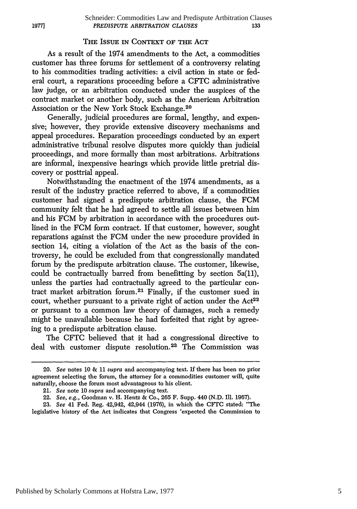#### THE ISSUE **IN CONTEXT** OF THE **ACT**

As a result of the 1974 amendments to the Act, a commodities customer has three forums for settlement of a controversy relating to his commodities trading activities: a civil action in state or federal court, a reparations proceeding before a CFTC administrative law judge, or an arbitration conducted under the auspices of the contract market or another body, such as the American Arbitration Association or the New York Stock Exchange.<sup>20</sup>

Generally, judicial procedures are formal, lengthy, and expensive; however, they provide extensive discovery mechanisms and appeal procedures. Reparation proceedings conducted by an expert administrative tribunal resolve disputes more quickly than judicial proceedings, and more formally than most arbitrations. Arbitrations are informal, inexpensive hearings which provide little pretrial discovery or posttrial appeal.

Notwithstanding the enactment of the 1974 amendments, as a result of the industry practice referred to above, if a commodities customer had signed a predispute arbitration clause, the FCM community felt that he had agreed to settle all issues between him and his FCM by arbitration in accordance with the procedures outlined in the FCM form contract. If that customer, however, sought reparations against the FCM under the new procedure provided in section 14, citing a violation of the Act as the basis of the controversy, he could be excluded from that congressionally mandated forum by the predispute arbitration clause. The customer, likewise, could be contractually barred from benefitting by section 5a(11), unless the parties had contractually agreed to the particular contract market arbitration forum.<sup>21</sup> Finally, if the customer sued in court, whether pursuant to a private right of action under the Act<sup>22</sup> or pursuant to a common law theory of damages, such a remedy might be unavailable because he had forfeited that right by agreeing to a predispute arbitration clause.

The CFTC believed that it had a congressional directive to deal with customer dispute resolution.23 The Commission was

*1977]*

<sup>20.</sup> *See* notes 10 & 11 *supra* and accompanying text. If there has been no prior agreement selecting the forum, the attorney for a commodities customer will, quite naturally, choose the forum most advantageous to his client.

<sup>21.</sup> *See* note 10 *supra* and accompanying text.

<sup>22.</sup> *See, e.g.,* Goodman v. H. Hentz & Co., 265 F. Supp. 440 (N.D. Ill. 1967).

<sup>23.</sup> *See* 41 Fed. Reg. 42,942, 42,944 (1976), in which the CFTC stated: "The legislative history of the Act indicates that Congress 'expected the Commission to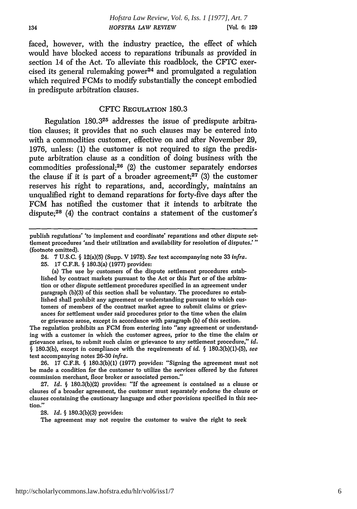faced, however, with the industry practice, the effect of which would have blocked access to reparations tribunals as provided in section 14 of the Act. To alleviate this roadblock, the **CFTC** exercised its general rulemaking power $24$  and promulgated a regulation which required FCMs to modify substantially the concept embodied in predispute arbitration clauses.

#### CFTC **REGULATION** 180.3

Regulation 180.325 addresses the issue of predispute arbitration clauses; it provides that no such clauses may be entered into with a commodities customer, effective on and after November 29, 1976, unless: (1) the customer is not required to sign the predispute arbitration clause as a condition of doing business with the commodities professional;26 (2) the customer separately endorses the clause if it is part of a broader agreement;<sup>27</sup> (3) the customer reserves his right to reparations, and, accordingly, maintains an unqualified right to demand reparations for forty-five days after the FCM has notified the customer that it intends to arbitrate the dispute;28 (4) the contract contains a statement of the customer's

The regulation prohibits an FCM from entering into "any agreement or understanding with a customer in which the customer agrees, prior to the time the claim or grievance arises, to submit such claim or grievance to any settlement procedure," *id.* § 180.3(b), except in compliance with the requirements of *id.* § 180.3(b)(1)-(5), see text accompanying notes 26-30 *infra.*

26. **17** C.F.R. § 180.3(b)(1) (1977) provides: "Signing the agreement must not be made a condition for the customer to utilize the services offered by the futures commission merchant, floor broker or associated person."

27. *Id.* § 180.3(b)(2) provides: "If the agreement is contained as a clause or clauses of a broader agreement, the customer must separately endorse the clause or clauses containing the cautionary language and other provisions specified in this section."

28. *Id.* § 180.3(b)(3) provides:

The agreement may not require the customer to waive the right to seek

publish regulations' 'to implement and coordinate' reparations and other dispute settlement procedures 'and their utilization and availability for resolution of disputes.'" (footnote omitted).

<sup>24. 7</sup> U.S.C. § 12(a)(5) (Supp. V 1975). *See* text accompanying note 33 infra.

<sup>25. 17</sup> C.F.R. § 180.3(a) (1977) provides:

<sup>(</sup>a) The use by customers of the dispute settlement procedures established by contract markets pursuant to the Act or this Part or of the arbitration or other dispute settlement procedures specified in an agreement under paragraph (b)(3) of this section shall be voluntary. The procedures so established shall prohibit any agreement or understanding pursuant to which customers of members of the contract market agree to submit claims or grievances for settlement under said procedures prior to the time when the claim or grievance arose, except in accordance with paragraph (b) of this section.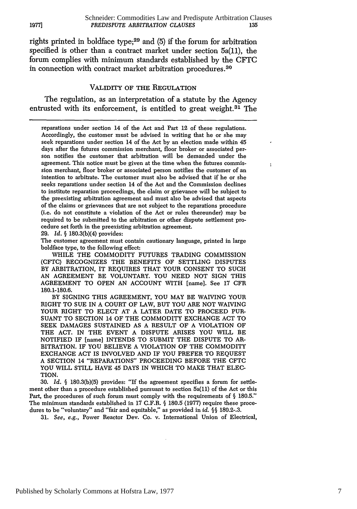$\overline{\mathbf{z}}$ 

rights printed in boldface type;29 and (5) if the forum for arbitration specified is other than a contract market under section 5a(11), the forum complies with minimum standards established by the **CFTC** in connection with contract market arbitration procedures. <sup>30</sup>

#### VALIDITY OF THE REGULATION

The regulation, as an interpretation of a statute by the Agency entrusted with its enforcement, is entitled to great weight.<sup>31</sup> The

reparations under section 14 of the Act and Part 12 of these regulations. Accordingly, the customer must be advised in writing that he or she may seek reparations under section 14 of the Act by an election made within 45 days after the futures commission merchant, floor broker or associated person notifies the customer that arbitration will be demanded under the agreement. This notice must be given at the time when the futures commission merchant, floor broker or associated person notifies the customer of an intention to arbitrate. The customer must also be advised that if he or she seeks reparations under section 14 of the Act and the Commission declines to institute reparation proceedings, the claim or grievance will be subject to the preexisting arbitration agreement and must also be advised that aspects of the claims or grievances that are not subject to the reparations procedure (i.e. do not constitute a violation of the Act or rules thereunder) may be required to be submitted to the arbitration or other dispute settlement procedure set forth in the preexisting arbitration agreement.

**29.** *Id.* **§** 180.3(b)(4) provides:

The customer agreement must contain cautionary language, printed in large boldface type, to the following effect:

WHILE THE COMMODITY FUTURES TRADING COMMISSION (CFTC) RECOGNIZES THE BENEFITS OF SETTLING DISPUTES BY ARBITRATION, IT REQUIRES THAT YOUR CONSENT TO SUCH AN AGREEMENT BE VOLUNTARY. YOU NEED NOT SIGN THIS AGREEMENT TO OPEN AN ACCOUNT WITH [name]. See 17 CFR 180.1-180.6.

BY SIGNING THIS AGREEMENT, YOU MAY BE WAIVING YOUR RIGHT TO SUE IN A COURT OF LAW, BUT YOU ARE NOT WAIVING YOUR RIGHT TO ELECT AT A LATER DATE TO PROCEED PUR-SUANT TO SECTION 14 OF THE COMMODITY EXCHANGE ACT TO SEEK DAMAGES SUSTAINED AS A RESULT OF A VIOLATION OF THE ACT. IN THE EVENT A DISPUTE ARISES YOU WILL BE NOTIFIED IF [name] INTENDS TO SUBMIT THE DISPUTE TO AR-BITRATION. IF YOU BELIEVE A VIOLATION OF THE COMMODITY EXCHANGE ACT **IS** INVOLVED AND IF YOU PREFER TO REQUEST A SECTION 14 "REPARATIONS" PROCEEDING BEFORE THE CFTC YOU WILL STILL HAVE 45 DAYS IN WHICH TO MAKE THAT ELEC-TION.

**30.** *Id.* **§ 180.3(b)(5)** provides: "If the agreement specifies a forum for settlement other than a procedure established pursuant to section 5a(11) of the Act or this Part, the procedures of such forum must comply with the requirements of **§** 180.5." The minimum standards established in **17** C.F.R. **§** 180.5 (1977) require these procedures to be "voluntary" and "fair and equitable," as provided in *id.* **§§** 180.2-.3.

**31.** *See, e.g.,* Power Reactor Dev. Co. v. International Union of Electrical,

*19771*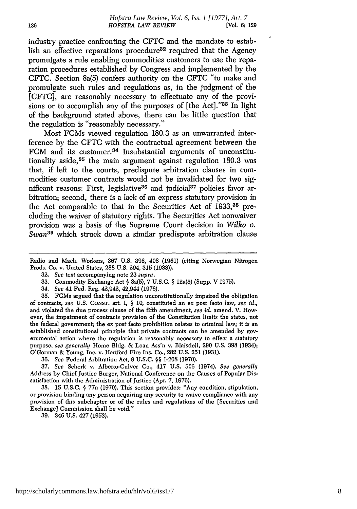industry practice confronting the CFTC and the mandate to establish an effective reparations procedure<sup>32</sup> required that the Agency promulgate a rule enabling commodities customers to use the reparation procedures established by Congress and implemented by the CFTC. Section 8a(5) confers authority on the CFTC "to make and promulgate such rules and regulations as, in the judgment of the [CFTC], are reasonably necessary to effectuate any of the provisions or to accomplish any of the purposes of [the Act]."<sup>33</sup> In light of the background stated above, there can be little question that the regulation is "reasonably necessary."

Most FCMs viewed regulation 180.3 as an unwarranted interference by the CFTC with the contractual agreement between the FCM and its customer.<sup>34</sup> Insubstantial arguments of unconstitutionality aside,<sup>35</sup> the main argument against regulation 180.3 was that, if left to the courts, predispute arbitration clauses in commodities customer contracts would not be invalidated for two significant reasons: First, legislative<sup>36</sup> and judicial<sup>37</sup> policies favor arbitration; second, there is a lack of an express statutory provision in the Act comparable to that in the Securities Act of 1933,38 precluding the waiver of statutory rights. The Securities Act nonwaiver provision was a basis of the Supreme Court decision in *Wilko v. Swan<sup>39</sup>*which struck down a similar predispute arbitration clause

- 32. *See* text accompanying note 23 *supra.*
- 33. Commodity Exchange Act **§** 8a(5), 7 U.S.C. **§** 12a(5) (Supp. V 1975).
- 34. *See* 41 Fed. Beg. 42,942, 42,944 (1976).

35. FCMs argued that the regulation unconstitutionally impaired the obligation of contracts, *see* U.S. **CONST.** art I, § 10, constituted an ex post facto law, *see id.,* and violated the due process clause of the fifth amendment, *see id.* amend. V. However, the impairment of contracts provision of the Constitution limits the states, not the federal government; the ex post facto prohibition relates to criminal law; it is an established constitutional principle that private contracts can be amended **by** governmental action where the regulation is reasonably necessary to effect a statutory purpose, *see generally* Home Bldg. & Loan Ass'n v. Blaisdell, 290 U.S. 398 (1934); O'Gorman & Young, Inc. v. Hartford Fire Ins. Co., 282 U.S. 251 (1931).

36. *See* Federal Arbitration Act, 9 U.S.C. **§§** 1-208 (1970).

37. *See* Scherk v. Alberto-Culver Co., 417 U.S. 506 (1974). *See generally* Address **by** Chief Justice Burger, National Conference on the Causes of Popular Dissatisfaction with the Administration of Justice (Apr. 7, 1976).

38. 15 U.S.C. § 77n (1970). This section provides: "Any condition, stipulation, or provision binding any person acquiring any security to waive compliance with any provision of this subchapter or of the rules and regulations of the [Securities and Exchange] Commission shall be void."

39. 346 U.S. 427 (1953).

Radio and Mach. Workers, 367 U.S. 396, 408 (1961) (citing Norwegian Nitrogen Prods. Co. v. United States, 288 U.S. 294, 315 (1933)).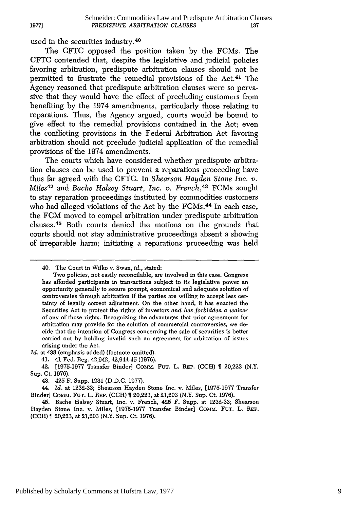used in the securities industry.<sup>40</sup>

**19771**

The **CFTC** opposed the position taken by the FCMs. The **CFTC** contended that, despite the legislative and judicial policies favoring arbitration, predispute arbitration clauses should not be permitted to frustrate the remedial provisions of the Act.41 The Agency reasoned that predispute arbitration clauses were so pervasive that they would have the effect of precluding customers from benefiting by the 1974 amendments, particularly those relating to reparations. Thus, the Agency argued, courts would be bound to give effect to the remedial provisions contained in the Act; even the conflicting provisions in the Federal Arbitration Act favoring arbitration should not preclude judicial application of the remedial provisions of the 1974 amendments.

The courts which have considered whether predispute arbitration clauses can be used to prevent a reparations proceeding have thus far agreed with the CFTC. In *Shearson Hayden Stone Inc. v. Miles42* and *Bache Halsey Stuart, Inc. v. French,43* FCMs sought to stay reparation proceedings instituted by commodities customers who had alleged violations of the Act by the FCMs.<sup>44</sup> In each case, the FCM moved to compel arbitration under predispute arbitration clauses. 45 Both courts denied the motions on the grounds that courts should not stay administrative proceedings absent a showing of irreparable harm; initiating a reparations proceeding was held

<sup>40.</sup> The Court in Wilko v. Swan, *id.,* stated:

Two policies, not easily reconcilable, are involved in this case. Congress has afforded participants in transactions subject to its legislative power an opportunity generally to secure prompt, economical and adequate solution of controversies through arbitration if the parties are willing to accept less certainty of legally correct adjustment. On the other hand, it has enacted the Securities Act to protect the rights of investors *and has forbidden a waiver* of any of those rights. Recognizing the advantages that prior agreements for arbitration may provide for the solution of commercial controversies, we decide that the intention of Congress concerning the sale of securities is better carried out by holding invalid such an agreement for arbitration of issues arising under the Act.

Id. at 438 (emphasis added) (footnote omitted).

<sup>41. 41</sup> Fed. Reg. 42,942, 42,944-45 (1976).

<sup>42. [1975-1977</sup> Transfer Binder] COMM. FUT. L. REP. (CCH) [ 20,223 (N.Y. Sup. Ct. 1976).

<sup>43. 425</sup> F. Supp. 1231 (D.D.C. 1977).

<sup>44.</sup> *Id.* at 1232-33; Shearson Hayden Stone Inc. v. Miles, [1975-1977 Transfer Binder] COMM. FUT. L. REP. (CCH) \[ 20,223, at 21,203 (N.Y. Sup. Ct. 1976).

<sup>45.</sup> Bache Halsey Stuart, Inc. v. French, 425 F. Supp. at 1232-33; Shearson Hayden Stone Inc. v. Miles, [1975-1977 Transfer Binder] COMM. FuT. L. REP. (CCH) 20,223, at 21,203 (N.Y. Sup. Ct. 1976).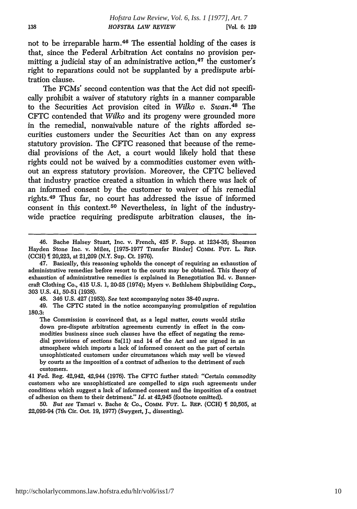not to be irreparable harm. 46 The essential holding of the cases is that, since the Federal Arbitration Act contains no provision permitting a judicial stay of an administrative action,<sup>47</sup> the customer's right to reparations could not be supplanted by a predispute arbitration clause.

The FCMs' second contention was that the Act did not specifically prohibit a waiver of statutory rights in a manner comparable to the Securities Act provision cited in *Wilko v. Swan. <sup>48</sup>*The CFTC contended that *Wilko* and its progeny were grounded more in the remedial, nonwaivable nature of the rights afforded securities customers under the Securities Act than on any express statutory provision. The CFTC reasoned that because of the remedial provisions of the Act, a court would likely hold that these rights could not be waived by a commodities customer even without an express statutory provision. Moreover, the CFTC believed that industry practice created a situation in which there was lack of an informed consent by the customer to waiver of his remedial rights. 49 Thus far, no court has addressed the issue of informed consent in this context.50 Nevertheless, in light of the industrywide practice requiring predispute arbitration clauses, the in-

49. The CFTC stated in the notice accompanying promulgation of regulation 180.3:

The Commission is convinced that, as a legal matter, courts would strike down pre-dispute arbitration agreements currently in effect in the commodities business since such clauses have the effect of negating the remedial provisions of sections 5a(Il) and 14 of the Act and are signed in an atmosphere which imports a lack of informed consent on the part of certain unsophisticated customers under circumstances which may well be viewed by courts as the imposition of a contract of adhesion to the detriment of such customers.

<sup>46.</sup> Bache Halsey Stuart, Inc. v. French, 425 F. Supp. at 1234-35; Shearson Hayden Stone Inc. v. Miles, [1975-1977 Transfer Binder] CoMM. **FUT.** L. REP. (CCH) 20,223, at 21,209 (N.Y. Sup. Ct. 1976).

<sup>47.</sup> Basically, this reasoning upholds the concept of requiring an exhaustion of administrative remedies before resort to the courts may be obtained. This theory of exhaustion of administrative remedies is explained in Renegotiation Bd. v. Bannercraft Clothing Co., 415 U.S. 1, 20-25 (1974); Myers v. Bethlehem Shipbuilding Corp., **303** U.S. 41, 50-51 (1938).

<sup>48. 346</sup> U.S. 427 (1953). *See* text accompanying notes 38-40 *supra.*

<sup>41</sup> Fed. Reg. 42,942, 42,944 **(1976).** The **CFTC** further stated: "Certain commodity customers who are unsophisticated are compelled to sign such agreements under conditions which suggest a lack of informed consent and the imposition of a contract of adhesion on them to their detriment." *Id.* at 42,945 (footnote omitted).

**<sup>50.</sup>** *But see* Tamari v. Bache & Co., COMM. **FUT.** L. REP. **(CCH)** 20,505, at 22,092-94 (7th Cir. Oct. 19, 1977) (Swygert, J., dissenting).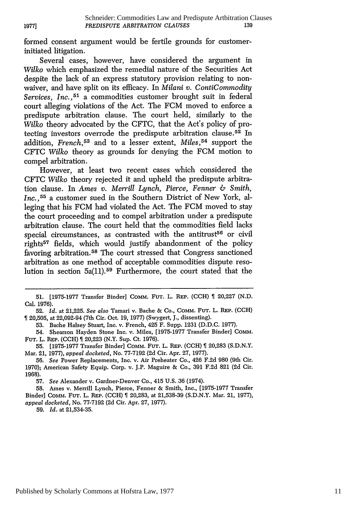formed consent argument would be fertile grounds for customerinitiated litigation.

Several cases, however, have considered the argument in *Wilko* which emphasized the remedial nature of the Securities Act despite the lack of an express statutory provision relating to nonwaiver, and have split on its efficacy. In *Milani v. ContiCommodity Services, Inc.,51* a commodities customer brought suit in federal court alleging violations of the Act. The FCM moved to enforce a predispute arbitration clause. The court held, similarly to the *Wilko* theory advocated by the CFTC, that the Act's policy of protecting investors overrode the predispute arbitration clause. 52 In addition, *French*,<sup>53</sup> and to a lesser extent, *Miles*,<sup>54</sup> support the CFTC *Wilko* theory as grounds for denying the FCM motion to compel arbitration.

However, at least two recent cases which considered the **CFTC** *Wilko* theory rejected it and upheld the predispute arbitration clause. In *Ames v. Merrill Lynch, Pierce, Fenner & Smith, Inc., <sup>55</sup>*a customer sued in the Southern District of New York, alleging that his FCM had violated the Act. The FCM moved to stay the court proceeding and to compel arbitration under a predispute arbitration clause. The court held that the commodities field lacks special circumstances, as contrasted with the antitrust<sup>56</sup> or civil rights57 fields, which would justify abandonment of the policy favoring arbitration. 58 The court stressed that Congress sanctioned arbitration as one method of acceptable commodities dispute resolution in section 5a(11).<sup>59</sup> Furthermore, the court stated that the

59. *Id.* at 21,534-35.

<sup>51. [1975-1977</sup> Transfer Binder] COMM. FUT. L. REP. (CCH) 20,227 (N.D. Cal. 1976).

<sup>52.</sup> *Id.* at 21,225. *See also* Tamari v. Bache & Co., COMM. FuT. L. REP. (CCH) 20,505, at 22,092-94 (7th Cir. Oct. 19, 1977) (Swygert, J., dissenting).

<sup>53.</sup> Bache Halsey Stuart, Inc. v. French, 425 F. Supp. 1231 (D.D.C. 1977).

<sup>54.</sup> Shearson Hayden Stone Inc. v. Miles, [1975-1977 Transfer Binder] COMM. FUT. L. REP. (CCH) 20,223 (N.Y. Sup. Ct. 1976).

**<sup>55.</sup>** [1975-1977 Transfer Binder] **CoMM.** FUT. L. REP. (CCH) 20,283 (S.D.N.Y. Mar. 21, 1977), *appeal docketed,* No. 77-7192 (2d Cir. Apr. 27, 1977).

<sup>56.</sup> *See* Power Replacements, Inc. v. Air Preheater Co., 426 F.2d 980 (9th Cir. 1970); American Safety Equip. Corp. v. J.P. Maguire & Co., 391 F.2d 821 (2d Cir. 1968).

<sup>57.</sup> *See* Alexander v. Gardner-Denver Co., 415 U.S. 36 (1974).

<sup>58.</sup> Ames v. Merrill Lynch, Pierce, Fenner & Smith, Inc., [1975-1977 Transfer Binder] COMM. FUT. L. REP. (CCH) \[ 20,283, at 21,538-39 (S.D.N.Y. Mar. 21, 1977), *appeal docketed,* No. 77-7192 (2d Cir. Apr. 27, 1977).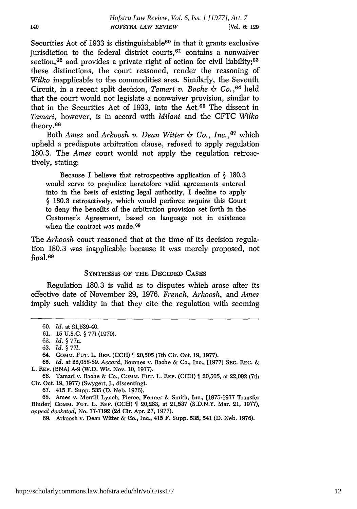Securities Act of 1933 is distinguishable<sup>60</sup> in that it grants exclusive jurisdiction to the federal district courts,  $61$  contains a nonwaiver section,  $62$  and provides a private right of action for civil liability; $63$ these distinctions, the court reasoned, render the reasoning of *Wilko* inapplicable to the commodities area. Similarly, the Seventh Circuit, in a recent split decision, *Tamari v. Bache & Co.,64* held that the court would not legislate a nonwaiver provision, similar to that in the Securities Act of 1933, into the Act. 65 The dissent in *Tamari,* however, is in accord with *Milani* and the CFTC *Wilko* theory. <sup>66</sup>

Both *Ames* and *Arkoosh v. Dean Witter & Co., Inc., <sup>6</sup> <sup>7</sup>*which upheld a predispute arbitration clause, refused to apply regulation 180.3. The *Ames* court would not apply the regulation retroactively, stating:

Because I believe that retrospective application of **§** 180.3 would serve to prejudice heretofore valid agreements entered into in the basis of existing legal authority, I decline to apply § 180.3 retroactively, which would perforce require this Court to deny the benefits of the arbitration provision set forth in the Customer's Agreement, based on language not in existence when the contract was made.<sup>68</sup>

The *Arkoosh* court reasoned that at the time of its decision regulation 180.3 was inapplicable because it was merely proposed, not final. <sup>69</sup>

#### **SYNTHESIS** OF THE **DECIDED CASES**

Regulation **180.3** is valid as to disputes which arose after its effective date of November 29, 1976. *French, Arkoosh,* and *Ames* imply such validity in that they cite the regulation with seeming

**67.** 415 F. Supp. **535 (D.** Neb. **1976).**

**68.** Ames v. Merrill Lynch, Pierce, Fenner & Smith, Inc., **[1975-1977** Transfer Binder] **COMM. FUT.** L. REP. **(CCH) 20,283,** at **21,537 (S.D.N.Y.** Mar. 21, **1977),** *appeal docketed,* No. **77-7192 (2d** Cir. Apr. **27, 1977).**

**69.** Arkoosh v. Dean Witter & Co., Inc., 415 F. Supp. **535,** 541 **(D.** Neb. **1976).**

140

<sup>60.</sup> *Id.* at 21,539-40.

<sup>61. 15</sup> U.S.C. **§** 77i (1970).

<sup>62.</sup> *Id. §* 77n.

<sup>63.</sup> *Id.* § **771.**

<sup>64.</sup> COMM. **FUT.** L. **REP.** (CCH) 20,505 (7th Cir. Oct. 19, 1977).

<sup>65.</sup> *Id.* at 22,088-89. *Accord,* Romnes v. Bache & Co., Inc., [1977] SEc. REG. & L. REP. (BNA) A-9 (W.D. Wis. Nov. 10, 1977).

**<sup>66.</sup>** Tamari v. Bache & Co., **COMM. FUT.** *L.* **REP. (CCH) 20,505,** at 22,092 (7th Cir. Oct. **19, 1977)** (Swygert, **J.,** dissenting).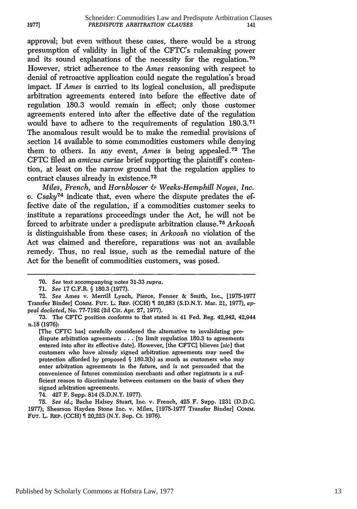approval; but even without these cases, there would be a strong presumption of validity in light of the CFTC's rulemaking power and its sound explanations of the necessity for the regulation.<sup>70</sup> However, strict adherence to the *Ames* reasoning with respect to denial of retroactive application could negate the regulation's broad impact. If *Ames* is carried to its logical conclusion, all predispute arbitration agreements entered into before the effective date of regulation 180.3 would remain in effect; only those customer agreements entered into after the effective date of the regulation would have to adhere to the requirements of regulation 180.3.71 The anomalous result would be to make the remedial provisions of section 14 available to some commodities customers while denying them to others. In any event, *Ames* is being appealed. 72 The CFTC filed an *amicus curiae* brief supporting the plaintiff's contention, at least on the narrow ground that the regulation applies to contract clauses already in existence. <sup>73</sup>

*Miles, French, and Hornblower & Weeks-Hemphill Noyes, Inc. v. Csaky<sup>74</sup>*indicate that, even where the dispute predates the effective date of the regulation, if a commodities customer seeks to institute a reparations proceedings under the Act, he will not be forced to arbitrate under a predispute arbitration clause. <sup>75</sup>*Arkoosh* is distinguishable from these cases; in *Arkoosh* no violation of the Act was claimed and therefore, reparations was not an available remedy. Thus, no real issue, such as the remedial nature of the Act for the benefit of commodities customers, was posed.

[The **CFTC** has] carefully considered the alternative to invalidating predispute arbitration agreements . . . [to limit regulation 180.3 to agreements entered into after its effective date]. However, [the CFTC] blieves *[sic]* that customers who have already signed arbitration agreements may need the protection afforded by proposed  $\S$  180.3(b) as much as customers who may enter arbitration agreements in the future, and is not persuaded that the convenience of futures commission merchants and other registrants is a sufficient reason to discriminate between customers on the basis of when they signed arbitration agreements.

74. 427 F. Supp. 814 (S.D.N.Y. 1977).

75. *See id.;* Bache Halsey Stuart, Inc. v. French, 425 F. Supp. **1231** (D.D.C. 1977); Shearson Hayden Stone Inc. v. Miles, [1975-1977 Transfer Binder] CoMM. FUT. L. REP. (CCH)  $\parallel$  20,223 (N.Y. Sup. Ct. 1976).

<sup>70.</sup> *See* text accompanying notes **31-33** supra.

<sup>71.</sup> *See* 17 C.F.R. **§** 180.3 (1977).

<sup>72.</sup> *See* Ames v. Merrill Lynch, Pierce, Fenner & Smith, Inc., [1975-1977 Transfer Binder] COMM. FUT. L. REP. (CCH) 1 20,283 (S.D.N.Y. Mar. 21, 1977), ap*peal docketed,* No. 77-7192 (2d Cir. Apr. 27, 1977).

<sup>73.</sup> The CFTC position conforms to that stated in 41 Fed. Reg. 42,942, 42,944 n.18 (1976):